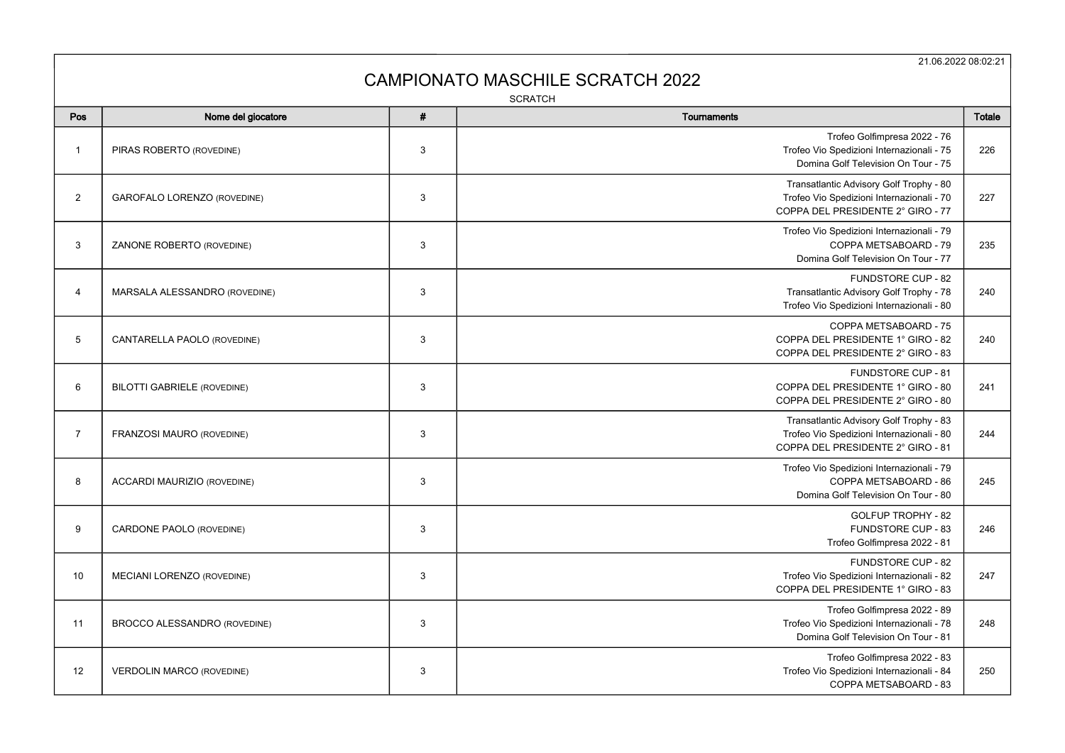21.06.2022 08:02:21

## CAMPIONATO MASCHILE SCRATCH 2022

**SCRATCH** 

| Pos            | Nome del giocatore                 | #            | Tournaments                                                                                                               | Totale |
|----------------|------------------------------------|--------------|---------------------------------------------------------------------------------------------------------------------------|--------|
| $\mathbf{1}$   | PIRAS ROBERTO (ROVEDINE)           | $\mathbf{3}$ | Trofeo Golfimpresa 2022 - 76<br>Trofeo Vio Spedizioni Internazionali - 75<br>Domina Golf Television On Tour - 75          | 226    |
| $\overline{2}$ | <b>GAROFALO LORENZO (ROVEDINE)</b> | $\mathbf{3}$ | Transatlantic Advisory Golf Trophy - 80<br>Trofeo Vio Spedizioni Internazionali - 70<br>COPPA DEL PRESIDENTE 2° GIRO - 77 | 227    |
| 3              | ZANONE ROBERTO (ROVEDINE)          | $\mathbf{3}$ | Trofeo Vio Spedizioni Internazionali - 79<br>COPPA METSABOARD - 79<br>Domina Golf Television On Tour - 77                 | 235    |
| $\overline{4}$ | MARSALA ALESSANDRO (ROVEDINE)      | $\mathbf{3}$ | FUNDSTORE CUP - 82<br>Transatlantic Advisory Golf Trophy - 78<br>Trofeo Vio Spedizioni Internazionali - 80                | 240    |
| 5              | CANTARELLA PAOLO (ROVEDINE)        | $\mathbf{3}$ | COPPA METSABOARD - 75<br>COPPA DEL PRESIDENTE 1° GIRO - 82<br>COPPA DEL PRESIDENTE 2° GIRO - 83                           | 240    |
| 6              | <b>BILOTTI GABRIELE (ROVEDINE)</b> | $\mathbf{3}$ | <b>FUNDSTORE CUP - 81</b><br>COPPA DEL PRESIDENTE 1° GIRO - 80<br>COPPA DEL PRESIDENTE 2° GIRO - 80                       | 241    |
| $\overline{7}$ | FRANZOSI MAURO (ROVEDINE)          | $\mathbf{3}$ | Transatlantic Advisory Golf Trophy - 83<br>Trofeo Vio Spedizioni Internazionali - 80<br>COPPA DEL PRESIDENTE 2° GIRO - 81 | 244    |
| 8              | ACCARDI MAURIZIO (ROVEDINE)        | 3            | Trofeo Vio Spedizioni Internazionali - 79<br>COPPA METSABOARD - 86<br>Domina Golf Television On Tour - 80                 | 245    |
| 9              | CARDONE PAOLO (ROVEDINE)           | 3            | <b>GOLFUP TROPHY - 82</b><br>FUNDSTORE CUP - 83<br>Trofeo Golfimpresa 2022 - 81                                           | 246    |
| 10             | MECIANI LORENZO (ROVEDINE)         | 3            | FUNDSTORE CUP - 82<br>Trofeo Vio Spedizioni Internazionali - 82<br>COPPA DEL PRESIDENTE 1° GIRO - 83                      | 247    |
| 11             | BROCCO ALESSANDRO (ROVEDINE)       | $\mathbf{3}$ | Trofeo Golfimpresa 2022 - 89<br>Trofeo Vio Spedizioni Internazionali - 78<br>Domina Golf Television On Tour - 81          | 248    |
| 12             | <b>VERDOLIN MARCO (ROVEDINE)</b>   | $\mathbf{3}$ | Trofeo Golfimpresa 2022 - 83<br>Trofeo Vio Spedizioni Internazionali - 84<br>COPPA METSABOARD - 83                        | 250    |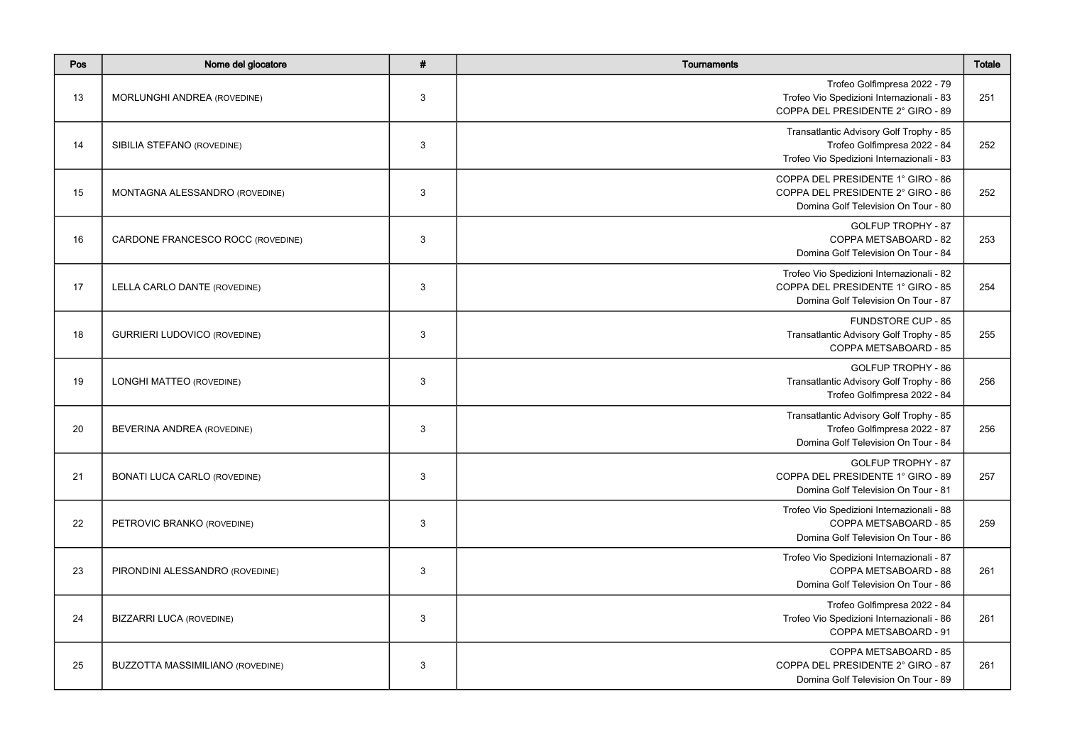| Pos | Nome del giocatore                      | $\pmb{\#}$ | <b>Tournaments</b>                                                                                                    | <b>Totale</b> |
|-----|-----------------------------------------|------------|-----------------------------------------------------------------------------------------------------------------------|---------------|
| 13  | MORLUNGHI ANDREA (ROVEDINE)             | 3          | Trofeo Golfimpresa 2022 - 79<br>Trofeo Vio Spedizioni Internazionali - 83<br>COPPA DEL PRESIDENTE 2° GIRO - 89        | 251           |
| 14  | SIBILIA STEFANO (ROVEDINE)              | 3          | Transatlantic Advisory Golf Trophy - 85<br>Trofeo Golfimpresa 2022 - 84<br>Trofeo Vio Spedizioni Internazionali - 83  | 252           |
| 15  | MONTAGNA ALESSANDRO (ROVEDINE)          | 3          | COPPA DEL PRESIDENTE 1° GIRO - 86<br>COPPA DEL PRESIDENTE 2° GIRO - 86<br>Domina Golf Television On Tour - 80         | 252           |
| 16  | CARDONE FRANCESCO ROCC (ROVEDINE)       | 3          | <b>GOLFUP TROPHY - 87</b><br>COPPA METSABOARD - 82<br>Domina Golf Television On Tour - 84                             | 253           |
| 17  | LELLA CARLO DANTE (ROVEDINE)            | 3          | Trofeo Vio Spedizioni Internazionali - 82<br>COPPA DEL PRESIDENTE 1° GIRO - 85<br>Domina Golf Television On Tour - 87 | 254           |
| 18  | <b>GURRIERI LUDOVICO (ROVEDINE)</b>     | 3          | <b>FUNDSTORE CUP - 85</b><br>Transatlantic Advisory Golf Trophy - 85<br>COPPA METSABOARD - 85                         | 255           |
| 19  | LONGHI MATTEO (ROVEDINE)                | 3          | GOLFUP TROPHY - 86<br>Transatlantic Advisory Golf Trophy - 86<br>Trofeo Golfimpresa 2022 - 84                         | 256           |
| 20  | BEVERINA ANDREA (ROVEDINE)              | 3          | Transatlantic Advisory Golf Trophy - 85<br>Trofeo Golfimpresa 2022 - 87<br>Domina Golf Television On Tour - 84        | 256           |
| 21  | <b>BONATI LUCA CARLO (ROVEDINE)</b>     | 3          | GOLFUP TROPHY - 87<br>COPPA DEL PRESIDENTE 1° GIRO - 89<br>Domina Golf Television On Tour - 81                        | 257           |
| 22  | PETROVIC BRANKO (ROVEDINE)              | 3          | Trofeo Vio Spedizioni Internazionali - 88<br>COPPA METSABOARD - 85<br>Domina Golf Television On Tour - 86             | 259           |
| 23  | PIRONDINI ALESSANDRO (ROVEDINE)         | 3          | Trofeo Vio Spedizioni Internazionali - 87<br>COPPA METSABOARD - 88<br>Domina Golf Television On Tour - 86             | 261           |
| 24  | <b>BIZZARRI LUCA (ROVEDINE)</b>         | 3          | Trofeo Golfimpresa 2022 - 84<br>Trofeo Vio Spedizioni Internazionali - 86<br>COPPA METSABOARD - 91                    | 261           |
| 25  | <b>BUZZOTTA MASSIMILIANO (ROVEDINE)</b> | 3          | COPPA METSABOARD - 85<br>COPPA DEL PRESIDENTE 2° GIRO - 87<br>Domina Golf Television On Tour - 89                     | 261           |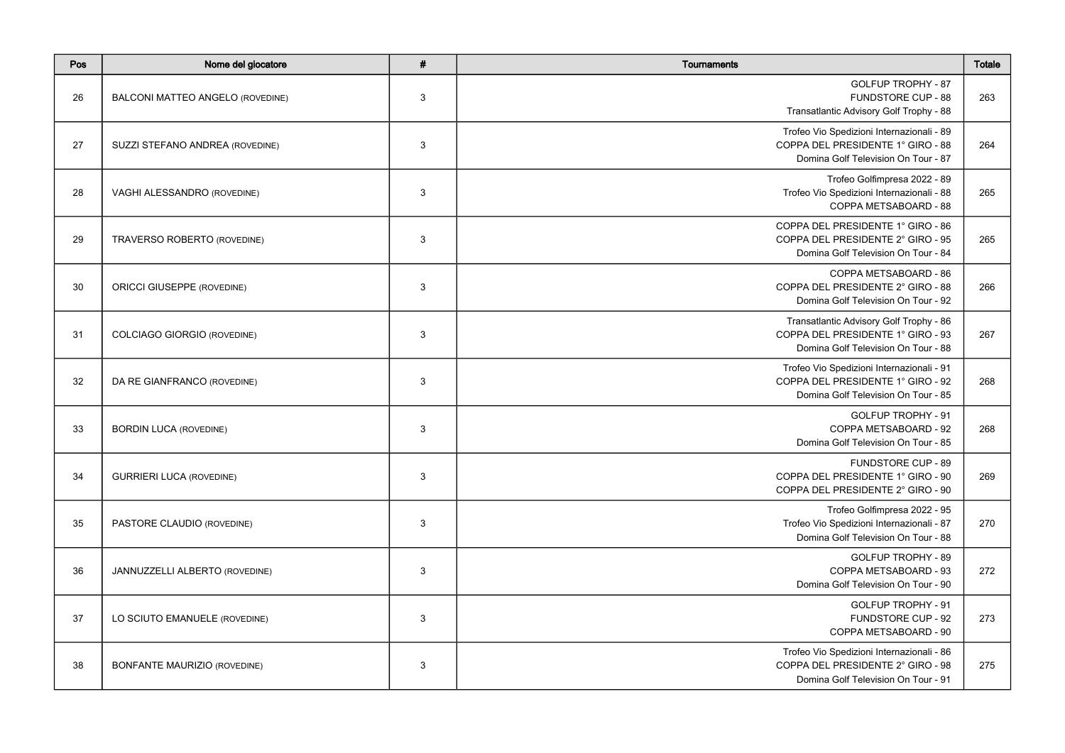| Pos | Nome del giocatore                  | $\pmb{\#}$ | <b>Tournaments</b>                                                                                                    | Totale |
|-----|-------------------------------------|------------|-----------------------------------------------------------------------------------------------------------------------|--------|
| 26  | BALCONI MATTEO ANGELO (ROVEDINE)    | 3          | <b>GOLFUP TROPHY - 87</b><br><b>FUNDSTORE CUP - 88</b><br>Transatlantic Advisory Golf Trophy - 88                     | 263    |
| 27  | SUZZI STEFANO ANDREA (ROVEDINE)     | 3          | Trofeo Vio Spedizioni Internazionali - 89<br>COPPA DEL PRESIDENTE 1° GIRO - 88<br>Domina Golf Television On Tour - 87 | 264    |
| 28  | VAGHI ALESSANDRO (ROVEDINE)         | 3          | Trofeo Golfimpresa 2022 - 89<br>Trofeo Vio Spedizioni Internazionali - 88<br>COPPA METSABOARD - 88                    | 265    |
| 29  | TRAVERSO ROBERTO (ROVEDINE)         | 3          | COPPA DEL PRESIDENTE 1° GIRO - 86<br>COPPA DEL PRESIDENTE 2° GIRO - 95<br>Domina Golf Television On Tour - 84         | 265    |
| 30  | <b>ORICCI GIUSEPPE (ROVEDINE)</b>   | 3          | COPPA METSABOARD - 86<br>COPPA DEL PRESIDENTE 2° GIRO - 88<br>Domina Golf Television On Tour - 92                     | 266    |
| 31  | <b>COLCIAGO GIORGIO (ROVEDINE)</b>  | 3          | Transatlantic Advisory Golf Trophy - 86<br>COPPA DEL PRESIDENTE 1° GIRO - 93<br>Domina Golf Television On Tour - 88   | 267    |
| 32  | DA RE GIANFRANCO (ROVEDINE)         | 3          | Trofeo Vio Spedizioni Internazionali - 91<br>COPPA DEL PRESIDENTE 1° GIRO - 92<br>Domina Golf Television On Tour - 85 | 268    |
| 33  | <b>BORDIN LUCA (ROVEDINE)</b>       | 3          | <b>GOLFUP TROPHY - 91</b><br>COPPA METSABOARD - 92<br>Domina Golf Television On Tour - 85                             | 268    |
| 34  | <b>GURRIERI LUCA (ROVEDINE)</b>     | 3          | FUNDSTORE CUP - 89<br>COPPA DEL PRESIDENTE 1° GIRO - 90<br>COPPA DEL PRESIDENTE 2° GIRO - 90                          | 269    |
| 35  | PASTORE CLAUDIO (ROVEDINE)          | 3          | Trofeo Golfimpresa 2022 - 95<br>Trofeo Vio Spedizioni Internazionali - 87<br>Domina Golf Television On Tour - 88      | 270    |
| 36  | JANNUZZELLI ALBERTO (ROVEDINE)      | 3          | GOLFUP TROPHY - 89<br>COPPA METSABOARD - 93<br>Domina Golf Television On Tour - 90                                    | 272    |
| 37  | LO SCIUTO EMANUELE (ROVEDINE)       | 3          | GOLFUP TROPHY - 91<br><b>FUNDSTORE CUP - 92</b><br>COPPA METSABOARD - 90                                              | 273    |
| 38  | <b>BONFANTE MAURIZIO (ROVEDINE)</b> | 3          | Trofeo Vio Spedizioni Internazionali - 86<br>COPPA DEL PRESIDENTE 2° GIRO - 98<br>Domina Golf Television On Tour - 91 | 275    |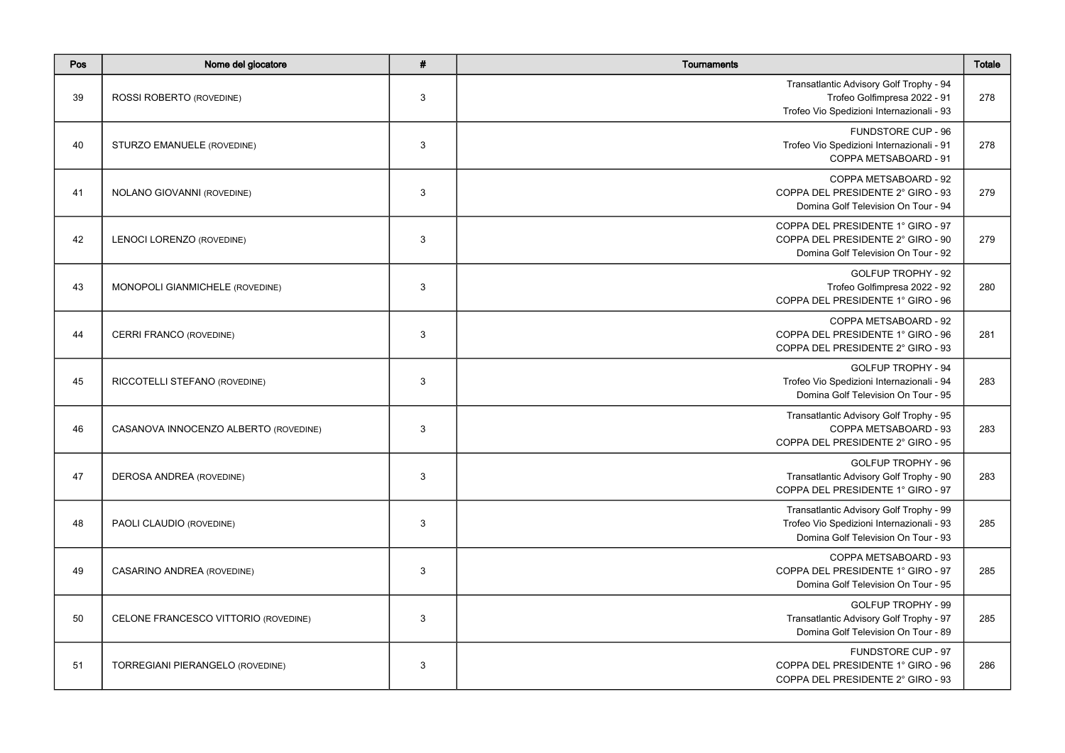| Pos | Nome del giocatore                     | $\#$         | Tournaments                                                                                                                 | Totale |
|-----|----------------------------------------|--------------|-----------------------------------------------------------------------------------------------------------------------------|--------|
| 39  | ROSSI ROBERTO (ROVEDINE)               | 3            | Transatlantic Advisory Golf Trophy - 94<br>Trofeo Golfimpresa 2022 - 91<br>Trofeo Vio Spedizioni Internazionali - 93        | 278    |
| 40  | STURZO EMANUELE (ROVEDINE)             | $\mathbf{3}$ | FUNDSTORE CUP - 96<br>Trofeo Vio Spedizioni Internazionali - 91<br>COPPA METSABOARD - 91                                    | 278    |
| 41  | NOLANO GIOVANNI (ROVEDINE)             | $\mathbf{3}$ | COPPA METSABOARD - 92<br>COPPA DEL PRESIDENTE 2° GIRO - 93<br>Domina Golf Television On Tour - 94                           | 279    |
| 42  | LENOCI LORENZO (ROVEDINE)              | $\mathbf{3}$ | COPPA DEL PRESIDENTE 1° GIRO - 97<br>COPPA DEL PRESIDENTE 2° GIRO - 90<br>Domina Golf Television On Tour - 92               | 279    |
| 43  | <b>MONOPOLI GIANMICHELE (ROVEDINE)</b> | 3            | GOLFUP TROPHY - 92<br>Trofeo Golfimpresa 2022 - 92<br>COPPA DEL PRESIDENTE 1° GIRO - 96                                     | 280    |
| 44  | CERRI FRANCO (ROVEDINE)                | 3            | COPPA METSABOARD - 92<br>COPPA DEL PRESIDENTE 1° GIRO - 96<br>COPPA DEL PRESIDENTE 2° GIRO - 93                             | 281    |
| 45  | RICCOTELLI STEFANO (ROVEDINE)          | $\mathbf 3$  | <b>GOLFUP TROPHY - 94</b><br>Trofeo Vio Spedizioni Internazionali - 94<br>Domina Golf Television On Tour - 95               | 283    |
| 46  | CASANOVA INNOCENZO ALBERTO (ROVEDINE)  | 3            | Transatlantic Advisory Golf Trophy - 95<br>COPPA METSABOARD - 93<br>COPPA DEL PRESIDENTE 2° GIRO - 95                       | 283    |
| 47  | DEROSA ANDREA (ROVEDINE)               | $\mathbf{3}$ | GOLFUP TROPHY - 96<br>Transatlantic Advisory Golf Trophy - 90<br>COPPA DEL PRESIDENTE 1° GIRO - 97                          | 283    |
| 48  | PAOLI CLAUDIO (ROVEDINE)               | 3            | Transatlantic Advisory Golf Trophy - 99<br>Trofeo Vio Spedizioni Internazionali - 93<br>Domina Golf Television On Tour - 93 | 285    |
| 49  | CASARINO ANDREA (ROVEDINE)             | $\mathbf{3}$ | COPPA METSABOARD - 93<br>COPPA DEL PRESIDENTE 1° GIRO - 97<br>Domina Golf Television On Tour - 95                           | 285    |
| 50  | CELONE FRANCESCO VITTORIO (ROVEDINE)   | 3            | GOLFUP TROPHY - 99<br>Transatlantic Advisory Golf Trophy - 97<br>Domina Golf Television On Tour - 89                        | 285    |
| 51  | TORREGIANI PIERANGELO (ROVEDINE)       | $\mathbf{3}$ | <b>FUNDSTORE CUP - 97</b><br>COPPA DEL PRESIDENTE 1° GIRO - 96<br>COPPA DEL PRESIDENTE 2° GIRO - 93                         | 286    |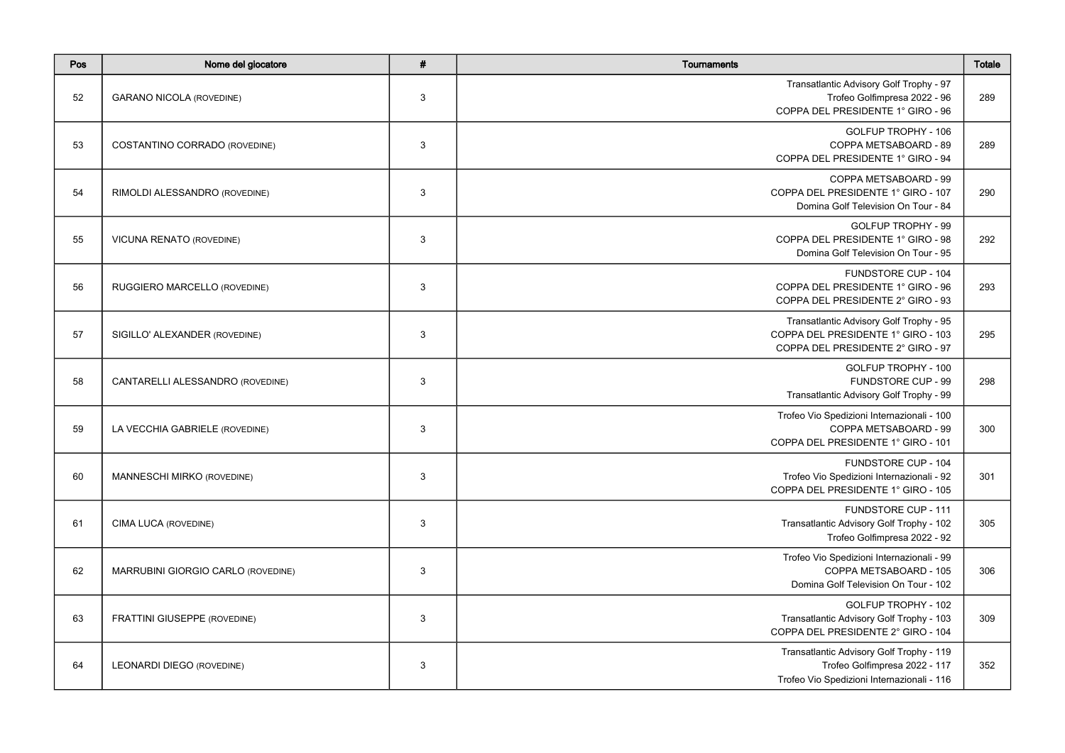| Pos | Nome del giocatore                 | $\pmb{\#}$   | Tournaments                                                                                                             | Totale |
|-----|------------------------------------|--------------|-------------------------------------------------------------------------------------------------------------------------|--------|
| 52  | <b>GARANO NICOLA (ROVEDINE)</b>    | 3            | Transatlantic Advisory Golf Trophy - 97<br>Trofeo Golfimpresa 2022 - 96<br>COPPA DEL PRESIDENTE 1° GIRO - 96            | 289    |
| 53  | COSTANTINO CORRADO (ROVEDINE)      | $\mathbf{3}$ | GOLFUP TROPHY - 106<br>COPPA METSABOARD - 89<br>COPPA DEL PRESIDENTE 1° GIRO - 94                                       | 289    |
| 54  | RIMOLDI ALESSANDRO (ROVEDINE)      | $\sqrt{3}$   | COPPA METSABOARD - 99<br>COPPA DEL PRESIDENTE 1° GIRO - 107<br>Domina Golf Television On Tour - 84                      | 290    |
| 55  | <b>VICUNA RENATO (ROVEDINE)</b>    | $\mathbf{3}$ | GOLFUP TROPHY - 99<br>COPPA DEL PRESIDENTE 1° GIRO - 98<br>Domina Golf Television On Tour - 95                          | 292    |
| 56  | RUGGIERO MARCELLO (ROVEDINE)       | 3            | FUNDSTORE CUP - 104<br>COPPA DEL PRESIDENTE 1° GIRO - 96<br>COPPA DEL PRESIDENTE 2° GIRO - 93                           | 293    |
| 57  | SIGILLO' ALEXANDER (ROVEDINE)      | 3            | Transatlantic Advisory Golf Trophy - 95<br>COPPA DEL PRESIDENTE 1° GIRO - 103<br>COPPA DEL PRESIDENTE 2° GIRO - 97      | 295    |
| 58  | CANTARELLI ALESSANDRO (ROVEDINE)   | 3            | GOLFUP TROPHY - 100<br><b>FUNDSTORE CUP - 99</b><br>Transatlantic Advisory Golf Trophy - 99                             | 298    |
| 59  | LA VECCHIA GABRIELE (ROVEDINE)     | 3            | Trofeo Vio Spedizioni Internazionali - 100<br>COPPA METSABOARD - 99<br>COPPA DEL PRESIDENTE 1° GIRO - 101               | 300    |
| 60  | MANNESCHI MIRKO (ROVEDINE)         | 3            | FUNDSTORE CUP - 104<br>Trofeo Vio Spedizioni Internazionali - 92<br>COPPA DEL PRESIDENTE 1° GIRO - 105                  | 301    |
| 61  | CIMA LUCA (ROVEDINE)               | 3            | FUNDSTORE CUP - 111<br>Transatlantic Advisory Golf Trophy - 102<br>Trofeo Golfimpresa 2022 - 92                         | 305    |
| 62  | MARRUBINI GIORGIO CARLO (ROVEDINE) | 3            | Trofeo Vio Spedizioni Internazionali - 99<br>COPPA METSABOARD - 105<br>Domina Golf Television On Tour - 102             | 306    |
| 63  | FRATTINI GIUSEPPE (ROVEDINE)       | 3            | GOLFUP TROPHY - 102<br>Transatlantic Advisory Golf Trophy - 103<br>COPPA DEL PRESIDENTE 2° GIRO - 104                   | 309    |
| 64  | LEONARDI DIEGO (ROVEDINE)          | $\mathbf{3}$ | Transatlantic Advisory Golf Trophy - 119<br>Trofeo Golfimpresa 2022 - 117<br>Trofeo Vio Spedizioni Internazionali - 116 | 352    |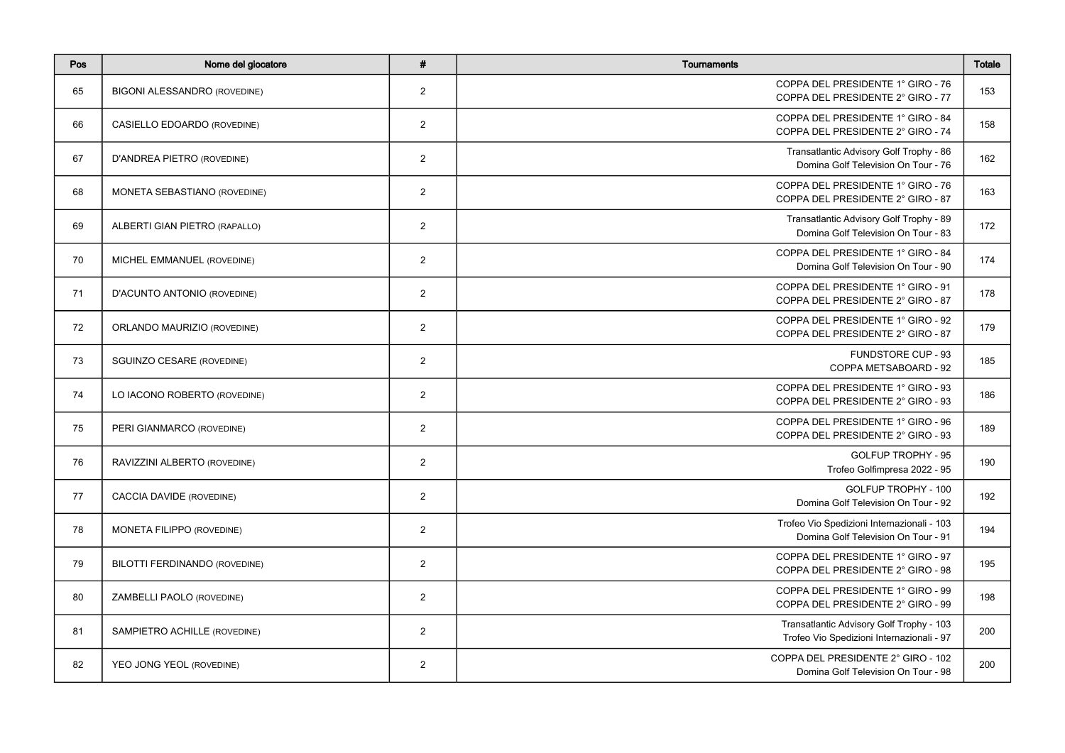| Pos | Nome del giocatore                  | #              | <b>Tournaments</b>                                                                    | <b>Totale</b> |
|-----|-------------------------------------|----------------|---------------------------------------------------------------------------------------|---------------|
| 65  | <b>BIGONI ALESSANDRO (ROVEDINE)</b> | $\overline{2}$ | COPPA DEL PRESIDENTE 1° GIRO - 76<br>COPPA DEL PRESIDENTE 2° GIRO - 77                | 153           |
| 66  | CASIELLO EDOARDO (ROVEDINE)         | $\overline{2}$ | COPPA DEL PRESIDENTE 1° GIRO - 84<br>COPPA DEL PRESIDENTE 2° GIRO - 74                | 158           |
| 67  | D'ANDREA PIETRO (ROVEDINE)          | $\overline{2}$ | Transatlantic Advisory Golf Trophy - 86<br>Domina Golf Television On Tour - 76        | 162           |
| 68  | MONETA SEBASTIANO (ROVEDINE)        | $\overline{2}$ | COPPA DEL PRESIDENTE 1° GIRO - 76<br>COPPA DEL PRESIDENTE 2° GIRO - 87                | 163           |
| 69  | ALBERTI GIAN PIETRO (RAPALLO)       | $\overline{2}$ | Transatlantic Advisory Golf Trophy - 89<br>Domina Golf Television On Tour - 83        | 172           |
| 70  | MICHEL EMMANUEL (ROVEDINE)          | $\overline{2}$ | COPPA DEL PRESIDENTE 1° GIRO - 84<br>Domina Golf Television On Tour - 90              | 174           |
| 71  | D'ACUNTO ANTONIO (ROVEDINE)         | $\overline{2}$ | COPPA DEL PRESIDENTE 1° GIRO - 91<br>COPPA DEL PRESIDENTE 2° GIRO - 87                | 178           |
| 72  | ORLANDO MAURIZIO (ROVEDINE)         | $\overline{2}$ | COPPA DEL PRESIDENTE 1° GIRO - 92<br>COPPA DEL PRESIDENTE 2° GIRO - 87                | 179           |
| 73  | <b>SGUINZO CESARE (ROVEDINE)</b>    | $\overline{2}$ | FUNDSTORE CUP - 93<br>COPPA METSABOARD - 92                                           | 185           |
| 74  | LO IACONO ROBERTO (ROVEDINE)        | $\overline{2}$ | COPPA DEL PRESIDENTE 1° GIRO - 93<br>COPPA DEL PRESIDENTE 2° GIRO - 93                | 186           |
| 75  | PERI GIANMARCO (ROVEDINE)           | $\overline{2}$ | COPPA DEL PRESIDENTE 1° GIRO - 96<br>COPPA DEL PRESIDENTE 2° GIRO - 93                | 189           |
| 76  | RAVIZZINI ALBERTO (ROVEDINE)        | $\overline{2}$ | <b>GOLFUP TROPHY - 95</b><br>Trofeo Golfimpresa 2022 - 95                             | 190           |
| 77  | CACCIA DAVIDE (ROVEDINE)            | $\overline{2}$ | GOLFUP TROPHY - 100<br>Domina Golf Television On Tour - 92                            | 192           |
| 78  | <b>MONETA FILIPPO (ROVEDINE)</b>    | $\overline{2}$ | Trofeo Vio Spedizioni Internazionali - 103<br>Domina Golf Television On Tour - 91     | 194           |
| 79  | BILOTTI FERDINANDO (ROVEDINE)       | $\overline{2}$ | COPPA DEL PRESIDENTE 1° GIRO - 97<br>COPPA DEL PRESIDENTE 2° GIRO - 98                | 195           |
| 80  | ZAMBELLI PAOLO (ROVEDINE)           | $\overline{2}$ | COPPA DEL PRESIDENTE 1° GIRO - 99<br>COPPA DEL PRESIDENTE 2° GIRO - 99                | 198           |
| 81  | SAMPIETRO ACHILLE (ROVEDINE)        | $\overline{2}$ | Transatlantic Advisory Golf Trophy - 103<br>Trofeo Vio Spedizioni Internazionali - 97 | 200           |
| 82  | YEO JONG YEOL (ROVEDINE)            | $\overline{2}$ | COPPA DEL PRESIDENTE 2° GIRO - 102<br>Domina Golf Television On Tour - 98             | 200           |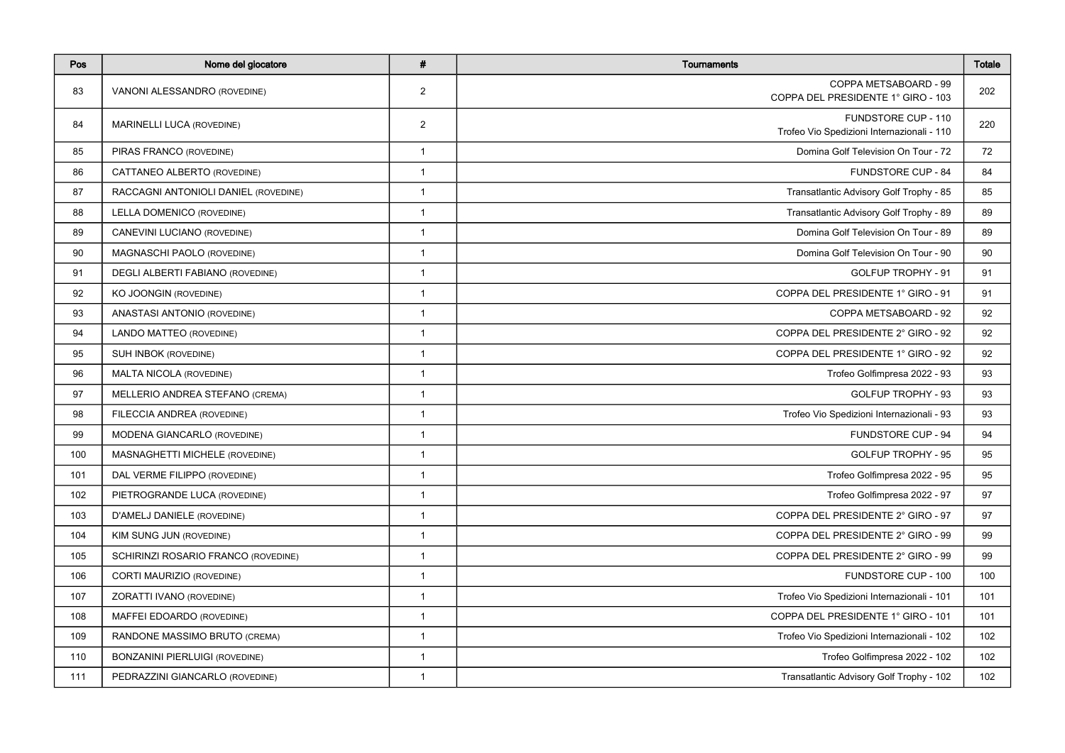| Pos | Nome del giocatore                    | $\#$           | <b>Tournaments</b>                                                | <b>Totale</b> |
|-----|---------------------------------------|----------------|-------------------------------------------------------------------|---------------|
| 83  | VANONI ALESSANDRO (ROVEDINE)          | $\overline{2}$ | COPPA METSABOARD - 99<br>COPPA DEL PRESIDENTE 1° GIRO - 103       | 202           |
| 84  | MARINELLI LUCA (ROVEDINE)             | $\overline{2}$ | FUNDSTORE CUP - 110<br>Trofeo Vio Spedizioni Internazionali - 110 | 220           |
| 85  | PIRAS FRANCO (ROVEDINE)               | $\mathbf{1}$   | Domina Golf Television On Tour - 72                               | 72            |
| 86  | CATTANEO ALBERTO (ROVEDINE)           | $\mathbf{1}$   | <b>FUNDSTORE CUP - 84</b>                                         | 84            |
| 87  | RACCAGNI ANTONIOLI DANIEL (ROVEDINE)  | $\mathbf{1}$   | Transatlantic Advisory Golf Trophy - 85                           | 85            |
| 88  | LELLA DOMENICO (ROVEDINE)             | $\mathbf{1}$   | Transatlantic Advisory Golf Trophy - 89                           | 89            |
| 89  | CANEVINI LUCIANO (ROVEDINE)           | $\mathbf{1}$   | Domina Golf Television On Tour - 89                               | 89            |
| 90  | MAGNASCHI PAOLO (ROVEDINE)            | $\mathbf{1}$   | Domina Golf Television On Tour - 90                               | 90            |
| 91  | DEGLI ALBERTI FABIANO (ROVEDINE)      | $\mathbf{1}$   | GOLFUP TROPHY - 91                                                | 91            |
| 92  | KO JOONGIN (ROVEDINE)                 | $\mathbf{1}$   | COPPA DEL PRESIDENTE 1° GIRO - 91                                 | 91            |
| 93  | ANASTASI ANTONIO (ROVEDINE)           | $\mathbf{1}$   | COPPA METSABOARD - 92                                             | 92            |
| 94  | LANDO MATTEO (ROVEDINE)               | $\mathbf{1}$   | COPPA DEL PRESIDENTE 2° GIRO - 92                                 | 92            |
| 95  | <b>SUH INBOK (ROVEDINE)</b>           | $\mathbf{1}$   | COPPA DEL PRESIDENTE 1° GIRO - 92                                 | 92            |
| 96  | <b>MALTA NICOLA (ROVEDINE)</b>        | $\mathbf{1}$   | Trofeo Golfimpresa 2022 - 93                                      | 93            |
| 97  | MELLERIO ANDREA STEFANO (CREMA)       | $\mathbf{1}$   | GOLFUP TROPHY - 93                                                | 93            |
| 98  | FILECCIA ANDREA (ROVEDINE)            | $\mathbf{1}$   | Trofeo Vio Spedizioni Internazionali - 93                         | 93            |
| 99  | MODENA GIANCARLO (ROVEDINE)           | $\mathbf{1}$   | <b>FUNDSTORE CUP - 94</b>                                         | 94            |
| 100 | MASNAGHETTI MICHELE (ROVEDINE)        | $\mathbf{1}$   | <b>GOLFUP TROPHY - 95</b>                                         | 95            |
| 101 | DAL VERME FILIPPO (ROVEDINE)          | $\mathbf{1}$   | Trofeo Golfimpresa 2022 - 95                                      | 95            |
| 102 | PIETROGRANDE LUCA (ROVEDINE)          | $\mathbf{1}$   | Trofeo Golfimpresa 2022 - 97                                      | 97            |
| 103 | D'AMELJ DANIELE (ROVEDINE)            | $\mathbf{1}$   | COPPA DEL PRESIDENTE 2° GIRO - 97                                 | 97            |
| 104 | KIM SUNG JUN (ROVEDINE)               | $\mathbf{1}$   | COPPA DEL PRESIDENTE 2° GIRO - 99                                 | 99            |
| 105 | SCHIRINZI ROSARIO FRANCO (ROVEDINE)   | $\mathbf{1}$   | COPPA DEL PRESIDENTE 2° GIRO - 99                                 | 99            |
| 106 | CORTI MAURIZIO (ROVEDINE)             | $\mathbf{1}$   | FUNDSTORE CUP - 100                                               | 100           |
| 107 | ZORATTI IVANO (ROVEDINE)              | $\mathbf{1}$   | Trofeo Vio Spedizioni Internazionali - 101                        | 101           |
| 108 | MAFFEI EDOARDO (ROVEDINE)             | $\mathbf{1}$   | COPPA DEL PRESIDENTE 1° GIRO - 101                                | 101           |
| 109 | RANDONE MASSIMO BRUTO (CREMA)         | $\mathbf{1}$   | Trofeo Vio Spedizioni Internazionali - 102                        | 102           |
| 110 | <b>BONZANINI PIERLUIGI (ROVEDINE)</b> | $\mathbf{1}$   | Trofeo Golfimpresa 2022 - 102                                     | 102           |
| 111 | PEDRAZZINI GIANCARLO (ROVEDINE)       | $\mathbf{1}$   | Transatlantic Advisory Golf Trophy - 102                          | 102           |